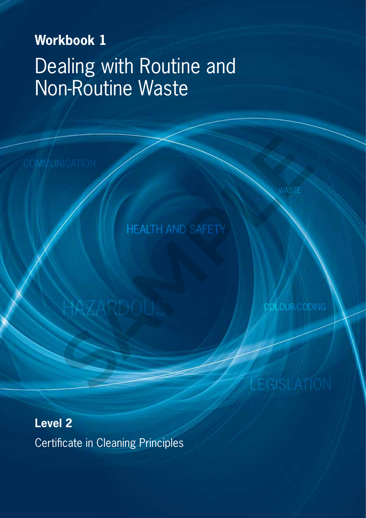# **Workbook 1** Dealing with Routine and Non-Routine Waste

HEALTH AND SAFETY NICATION<br>
HEALTH AND SAFETY<br>
HAZARDOUS<br>
LEGISLATI

COLOUR-CODING

**Level 2** Certificate in Cleaning Principles

**HAZARDOU**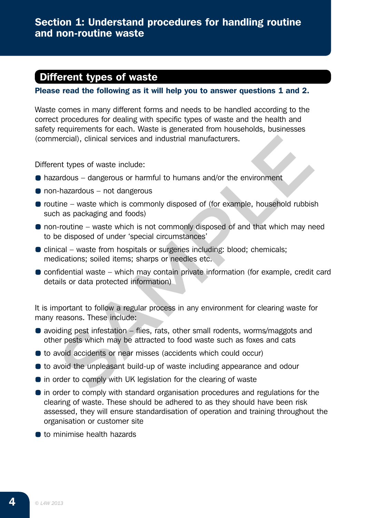# Different types of waste

Please read the following as it will help you to answer questions 1 and 2.

Waste comes in many different forms and needs to be handled according to the correct procedures for dealing with specific types of waste and the health and safety requirements for each. Waste is generated from households, businesses (commercial), clinical services and industrial manufacturers.

Different types of waste include:

- hazardous dangerous or harmful to humans and/or the environment
- non-hazardous not dangerous
- $\bullet$  routine waste which is commonly disposed of (for example, household rubbish such as packaging and foods)
- non-routine waste which is not commonly disposed of and that which may need to be disposed of under 'special circumstances'
- $\bullet$  clinical waste from hospitals or surgeries including: blood; chemicals; medications; soiled items; sharps or needles etc.
- $\bullet$  confidential waste which may contain private information (for example, credit card details or data protected information) ercial), clinical services and industrial manufacturers.<br>
Int types of waste include:<br>
Individual – dangerous or harmful to humans and/or the environment<br>
-hazardous – not dangerous<br>
ine – waste which is not commonly dispo

It is important to follow a regular process in any environment for clearing waste for many reasons. These include:

- avoiding pest infestation flies, rats, other small rodents, worms/maggots and other pests which may be attracted to food waste such as foxes and cats
- to avoid accidents or near misses (accidents which could occur)
- to avoid the unpleasant build-up of waste including appearance and odour
- **•** in order to comply with UK legislation for the clearing of waste
- **•** in order to comply with standard organisation procedures and regulations for the clearing of waste. These should be adhered to as they should have been risk assessed, they will ensure standardisation of operation and training throughout the organisation or customer site
- **to minimise health hazards**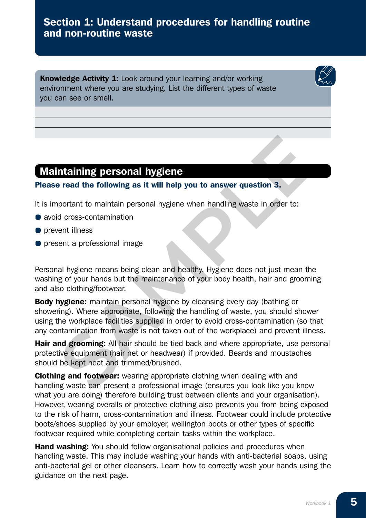# Section 1: Understand procedures for handling routine and non-routine waste

Knowledge Activity 1: Look around your learning and/or working environment where you are studying. List the different types of waste you can see or smell.

## Maintaining personal hygiene

#### Please read the following as it will help you to answer question 3.

It is important to maintain personal hygiene when handling waste in order to:

- avoid cross-contamination
- **O** prevent illness
- **•** present a professional image

Personal hygiene means being clean and healthy. Hygiene does not just mean the washing of your hands but the maintenance of your body health, hair and grooming and also clothing/footwear.

**Body hygiene:** maintain personal hygiene by cleansing every day (bathing or showering). Where appropriate, following the handling of waste, you should shower using the workplace facilities supplied in order to avoid cross-contamination (so that any contamination from waste is not taken out of the workplace) and prevent illness. **Internal the following as it will help you to answer question 3.**<br>
supportant to maintain personal hygiene when handling waste in order to:<br>
d cross-contamination<br>
emailiness<br>
sent a professional image<br>
al hygiene means b

Hair and grooming: All hair should be tied back and where appropriate, use personal protective equipment (hair net or headwear) if provided. Beards and moustaches should be kept neat and trimmed/brushed.

**Clothing and footwear:** wearing appropriate clothing when dealing with and handling waste can present a professional image (ensures you look like you know what you are doing) therefore building trust between clients and your organisation). However, wearing overalls or protective clothing also prevents you from being exposed to the risk of harm, cross-contamination and illness. Footwear could include protective boots/shoes supplied by your employer, wellington boots or other types of specific footwear required while completing certain tasks within the workplace.

Hand washing: You should follow organisational policies and procedures when handling waste. This may include washing your hands with anti-bacterial soaps, using anti-bacterial gel or other cleansers. Learn how to correctly wash your hands using the guidance on the next page.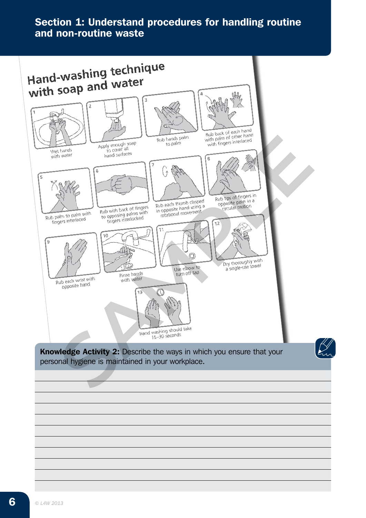# Section 1: Understand procedures for handling routine and non-routine waste

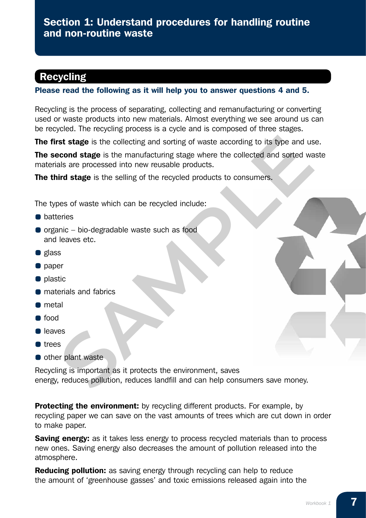# Recycling

#### Please read the following as it will help you to answer questions 4 and 5.

Recycling is the process of separating, collecting and remanufacturing or converting used or waste products into new materials. Almost everything we see around us can be recycled. The recycling process is a cycle and is composed of three stages.

The first stage is the collecting and sorting of waste according to its type and use.

**The second stage** is the manufacturing stage where the collected and sorted waste materials are processed into new reusable products.

The third stage is the selling of the recycled products to consumers.

The types of waste which can be recycled include:

- **O** batteries
- $\bullet$  organic bio-degradable waste such as food and leaves etc.
- **g** glass
- **o** paper
- **o** plastic
- **•** materials and fabrics
- **O** metal
- $\bullet$  food
- **O** leaves
- **o**trees
- **O** other plant waste

Recycling is important as it protects the environment, saves energy, reduces pollution, reduces landfill and can help consumers save money. **SAMPLE SET SET AND SET AND SET AND SET AND SET AND SERVERT SERVERT SERVERT SERVERT SERVERT SHERE IS THE PROCEED AND SOFT AND SERVERT SHERE IS THE SERVERT SHERE IS THE SERVERT SHERE IS THE SPECIFIC THE SPECIFIC THE SPECIFI** 

**Protecting the environment:** by recycling different products. For example, by recycling paper we can save on the vast amounts of trees which are cut down in order to make paper.

**Saving energy:** as it takes less energy to process recycled materials than to process new ones. Saving energy also decreases the amount of pollution released into the atmosphere.

**Reducing pollution:** as saving energy through recycling can help to reduce the amount of 'greenhouse gasses' and toxic emissions released again into the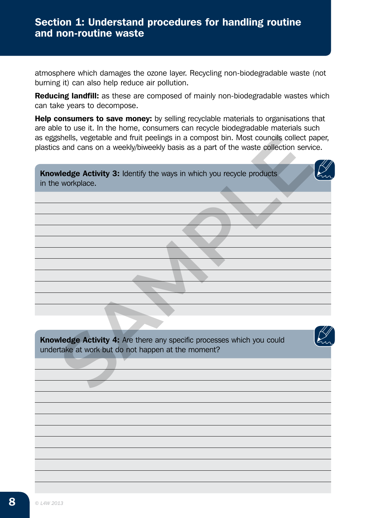atmosphere which damages the ozone layer. Recycling non-biodegradable waste (not burning it) can also help reduce air pollution.

Reducing landfill: as these are composed of mainly non-biodegradable wastes which can take years to decompose.

Help consumers to save money: by selling recyclable materials to organisations that are able to use it. In the home, consumers can recycle biodegradable materials such as eggshells, vegetable and fruit peelings in a compost bin. Most councils collect paper, plastics and cans on a weekly/biweekly basis as a part of the waste collection service. shells, vegetable and fruit peelings in a compost bin. Most councils collect paral cans on a weekly/biweekly basis as a part of the waste collection service vertex and cans on a weekly/biweekly basis as a part of the waste

**Knowledge Activity 3:** Identify the ways in which you recycle products in the workplace.

Knowledge Activity 4: Are there any specific processes which you could undertake at work but do not happen at the moment?

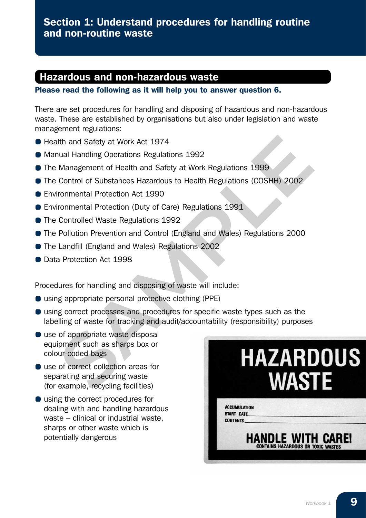#### Hazardous and non-hazardous waste

Please read the following as it will help you to answer question 6.

There are set procedures for handling and disposing of hazardous and non-hazardous waste. These are established by organisations but also under legislation and waste management regulations:

- Health and Safety at Work Act 1974
- Manual Handling Operations Regulations 1992
- **The Management of Health and Safety at Work Regulations 1999**
- The Control of Substances Hazardous to Health Regulations (COSHH) 2002
- **Environmental Protection Act 1990**
- **Environmental Protection (Duty of Care) Regulations 1991**
- The Controlled Waste Regulations 1992
- The Pollution Prevention and Control (England and Wales) Regulations 2000
- **The Landfill (England and Wales) Regulations 2002**
- Data Protection Act 1998

Procedures for handling and disposing of waste will include:

- using appropriate personal protective clothing (PPE)
- using correct processes and procedures for specific waste types such as the labelling of waste for tracking and audit/accountability (responsibility) purposes
- use of appropriate waste disposal equipment such as sharps box or colour-coded bags
- use of correct collection areas for separating and securing waste (for example, recycling facilities)
- using the correct procedures for dealing with and handling hazardous waste – clinical or industrial waste, sharps or other waste which is potentially dangerous